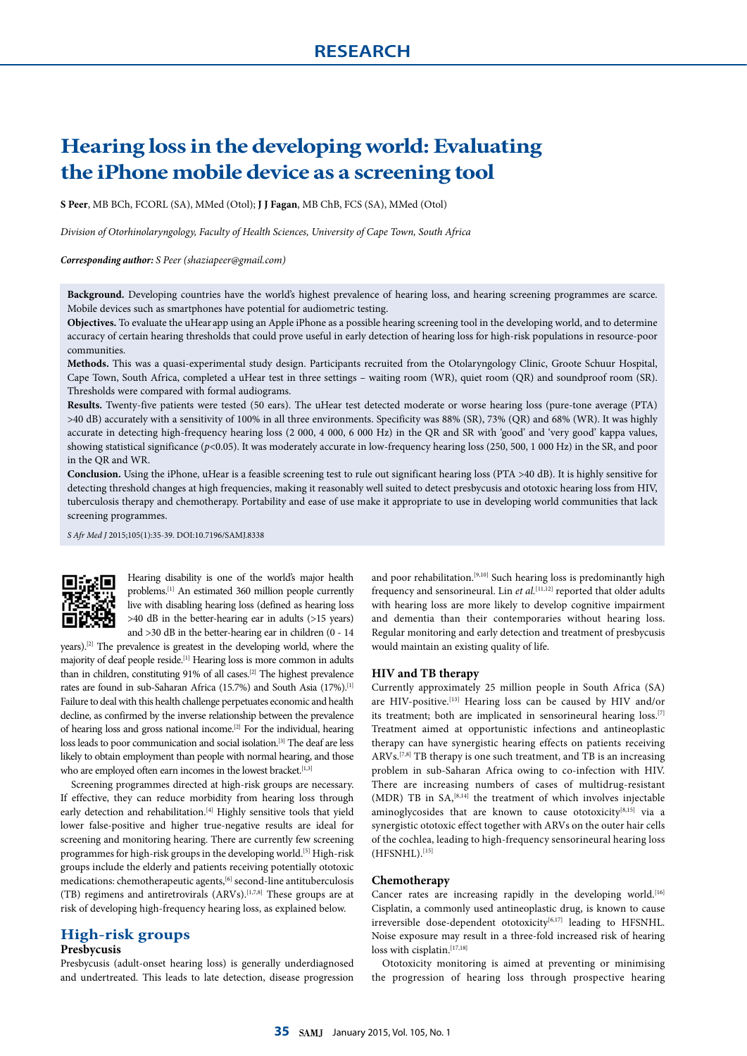# **Hearing loss in the developing world: Evaluating the iPhone mobile device as a screening tool**

**S Peer**, MB BCh, FCORL (SA), MMed (Otol); **J J Fagan**, MB ChB, FCS (SA), MMed (Otol)

*Division of Otorhinolaryngology, Faculty of Health Sciences, University of Cape Town, South Africa*

*Corresponding author: S Peer (shaziapeer@gmail.com)*

**Background.** Developing countries have the world's highest prevalence of hearing loss, and hearing screening programmes are scarce. Mobile devices such as smartphones have potential for audiometric testing.

**Objectives.** To evaluate the uHear app using an Apple iPhone as a possible hearing screening tool in the developing world, and to determine accuracy of certain hearing thresholds that could prove useful in early detection of hearing loss for high-risk populations in resource-poor communities.

**Methods.** This was a quasi-experimental study design. Participants recruited from the Otolaryngology Clinic, Groote Schuur Hospital, Cape Town, South Africa, completed a uHear test in three settings – waiting room (WR), quiet room (QR) and soundproof room (SR). Thresholds were compared with formal audiograms.

**Results.** Twenty-five patients were tested (50 ears). The uHear test detected moderate or worse hearing loss (pure-tone average (PTA) >40 dB) accurately with a sensitivity of 100% in all three environments. Specificity was 88% (SR), 73% (QR) and 68% (WR). It was highly accurate in detecting high-frequency hearing loss (2 000, 4 000, 6 000 Hz) in the QR and SR with 'good' and 'very good' kappa values, showing statistical significance ( $p$ <0.05). It was moderately accurate in low-frequency hearing loss (250, 500, 1 000 Hz) in the SR, and poor in the QR and WR.

**Conclusion.** Using the iPhone, uHear is a feasible screening test to rule out significant hearing loss (PTA >40 dB). It is highly sensitive for detecting threshold changes at high frequencies, making it reasonably well suited to detect presbycusis and ototoxic hearing loss from HIV, tuberculosis therapy and chemotherapy. Portability and ease of use make it appropriate to use in developing world communities that lack screening programmes.

*S Afr Med J* 2015;105(1):35-39. DOI:10.7196/SAMJ.8338



Hearing disability is one of the world's major health problems.[1] An estimated 360 million people currently live with disabling hearing loss (defined as hearing loss >40 dB in the better-hearing ear in adults (>15 years) and >30 dB in the better-hearing ear in children (0 - 14

years).[2] The prevalence is greatest in the developing world, where the majority of deaf people reside.<sup>[1]</sup> Hearing loss is more common in adults than in children, constituting 91% of all cases.<sup>[2]</sup> The highest prevalence rates are found in sub-Saharan Africa (15.7%) and South Asia (17%).[1] Failure to deal with this health challenge perpetuates economic and health decline, as confirmed by the inverse relationship between the prevalence of hearing loss and gross national income.[2] For the individual, hearing loss leads to poor communication and social isolation.<sup>[3]</sup> The deaf are less likely to obtain employment than people with normal hearing, and those who are employed often earn incomes in the lowest bracket.<sup>[1,3]</sup>

Screening programmes directed at high-risk groups are necessary. If effective, they can reduce morbidity from hearing loss through early detection and rehabilitation.<sup>[4]</sup> Highly sensitive tools that yield lower false-positive and higher true-negative results are ideal for screening and monitoring hearing. There are currently few screening programmes for high-risk groups in the developing world.<sup>[5]</sup> High-risk groups include the elderly and patients receiving potentially ototoxic medications: chemotherapeutic agents,  $^{[6]}$  second-line antituberculosis (TB) regimens and antiretrovirals (ARVs).[1,7,8] These groups are at risk of developing high-frequency hearing loss, as explained below.

# **High-risk groups**

### **Presbycusis**

Presbycusis (adult-onset hearing loss) is generally underdiagnosed and undertreated. This leads to late detection, disease progression

and poor rehabilitation.<sup>[9,10]</sup> Such hearing loss is predominantly high frequency and sensorineural. Lin *et al.*<sup>[11,12]</sup> reported that older adults with hearing loss are more likely to develop cognitive impairment and dementia than their contemporaries without hearing loss. Regular monitoring and early detection and treatment of presbycusis would maintain an existing quality of life.

#### **HIV and TB therapy**

Currently approximately 25 million people in South Africa (SA) are HIV-positive.[13] Hearing loss can be caused by HIV and/or its treatment; both are implicated in sensorineural hearing loss.<sup>[7]</sup> Treatment aimed at opportunistic infections and antineoplastic therapy can have synergistic hearing effects on patients receiving ARVs.[7,8] TB therapy is one such treatment, and TB is an increasing problem in sub-Saharan Africa owing to co-infection with HIV. There are increasing numbers of cases of multidrug-resistant (MDR) TB in  $SA<sub>2</sub><sup>[8,14]</sup>$  the treatment of which involves injectable aminoglycosides that are known to cause ototoxicity[8,15] via a synergistic ototoxic effect together with ARVs on the outer hair cells of the cochlea, leading to high-frequency sensorineural hearing loss  $(HFSNHL).$ [15]

#### **Chemotherapy**

Cancer rates are increasing rapidly in the developing world.<sup>[16]</sup> Cisplatin, a commonly used antineoplastic drug, is known to cause irreversible dose-dependent ototoxicity<sup>[6,17]</sup> leading to HFSNHL. Noise exposure may result in a three-fold increased risk of hearing loss with cisplatin.<sup>[17,18]</sup>

Ototoxicity monitoring is aimed at preventing or minimising the progression of hearing loss through prospective hearing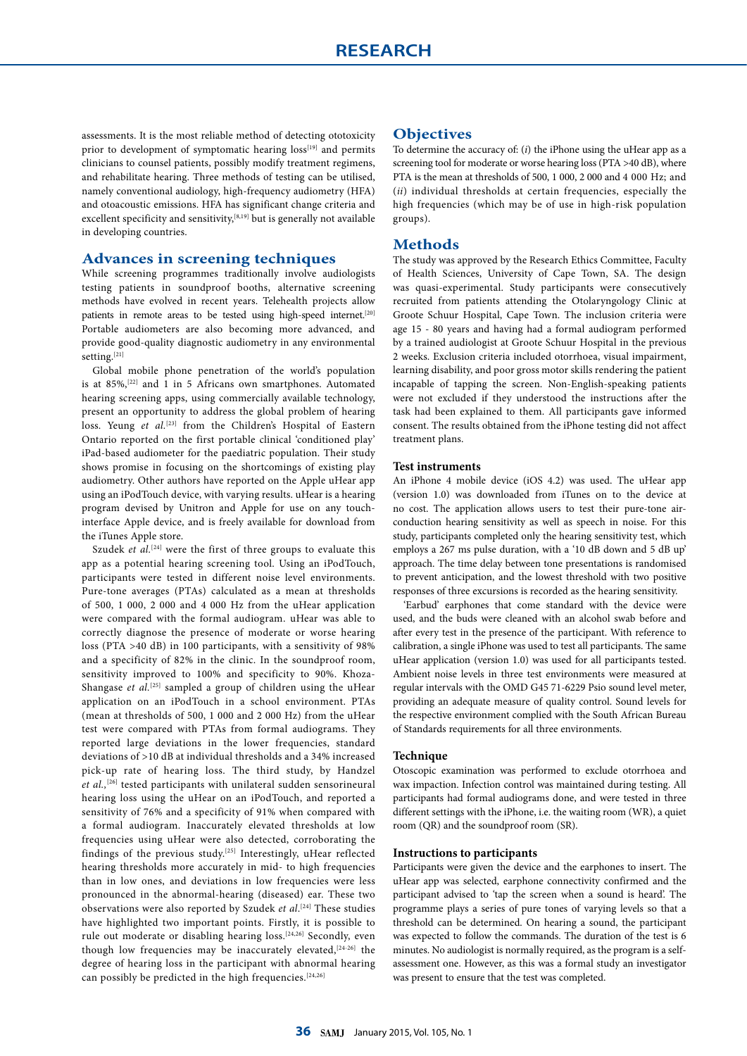assessments. It is the most reliable method of detecting ototoxicity prior to development of symptomatic hearing loss<sup>[19]</sup> and permits clinicians to counsel patients, possibly modify treatment regimens, and rehabilitate hearing. Three methods of testing can be utilised, namely conventional audiology, high-frequency audiometry (HFA) and otoacoustic emissions. HFA has significant change criteria and excellent specificity and sensitivity, $[8,19]$  but is generally not available in developing countries.

# **Advances in screening techniques**

While screening programmes traditionally involve audiologists testing patients in soundproof booths, alternative screening methods have evolved in recent years. Telehealth projects allow patients in remote areas to be tested using high-speed internet.<sup>[20]</sup> Portable audiometers are also becoming more advanced, and provide good-quality diagnostic audiometry in any environmental setting.  $\left[ 21\right]$ 

Global mobile phone penetration of the world's population is at 85%,<sup>[22]</sup> and 1 in 5 Africans own smartphones. Automated hearing screening apps, using commercially available technology, present an opportunity to address the global problem of hearing loss. Yeung et al.<sup>[23]</sup> from the Children's Hospital of Eastern Ontario reported on the first portable clinical 'conditioned play' iPad-based audiometer for the paediatric population. Their study shows promise in focusing on the shortcomings of existing play audiometry. Other authors have reported on the Apple uHear app using an iPodTouch device, with varying results. uHear is a hearing program devised by Unitron and Apple for use on any touchinterface Apple device, and is freely available for download from the iTunes Apple store.

Szudek *et al.*<sup>[24]</sup> were the first of three groups to evaluate this app as a potential hearing screening tool. Using an iPodTouch, participants were tested in different noise level environments. Pure-tone averages (PTAs) calculated as a mean at thresholds of 500, 1 000, 2 000 and 4 000 Hz from the uHear application were compared with the formal audiogram. uHear was able to correctly diagnose the presence of moderate or worse hearing loss (PTA >40 dB) in 100 participants, with a sensitivity of 98% and a specificity of 82% in the clinic. In the soundproof room, sensitivity improved to 100% and specificity to 90%. Khoza-Shangase *et al.*<sup>[25]</sup> sampled a group of children using the uHear application on an iPodTouch in a school environment. PTAs (mean at thresholds of 500, 1 000 and 2 000 Hz) from the uHear test were compared with PTAs from formal audiograms. They reported large deviations in the lower frequencies, standard deviations of >10 dB at individual thresholds and a 34% increased pick-up rate of hearing loss. The third study, by Handzel *et al.,*[26] tested participants with unilateral sudden sensorineural hearing loss using the uHear on an iPodTouch, and reported a sensitivity of 76% and a specificity of 91% when compared with a formal audiogram. Inaccurately elevated thresholds at low frequencies using uHear were also detected, corroborating the findings of the previous study.[25] Interestingly, uHear reflected hearing thresholds more accurately in mid- to high frequencies than in low ones, and deviations in low frequencies were less pronounced in the abnormal-hearing (diseased) ear. These two observations were also reported by Szudek *et al*. [24] These studies have highlighted two important points. Firstly, it is possible to rule out moderate or disabling hearing loss.[24,26] Secondly, even though low frequencies may be inaccurately elevated,  $[24-26]$  the degree of hearing loss in the participant with abnormal hearing can possibly be predicted in the high frequencies.[24,26]

# **Objectives**

To determine the accuracy of: (*i*) the iPhone using the uHear app as a screening tool for moderate or worse hearing loss (PTA >40 dB), where PTA is the mean at thresholds of 500, 1 000, 2 000 and 4 000 Hz; and (*ii*) individual thresholds at certain frequencies, especially the high frequencies (which may be of use in high-risk population groups).

# **Methods**

The study was approved by the Research Ethics Committee, Faculty of Health Sciences, University of Cape Town, SA. The design was quasi-experimental. Study participants were consecutively recruited from patients attending the Otolaryngology Clinic at Groote Schuur Hospital, Cape Town. The inclusion criteria were age 15 - 80 years and having had a formal audiogram performed by a trained audiologist at Groote Schuur Hospital in the previous 2 weeks. Exclusion criteria included otorrhoea, visual impairment, learning disability, and poor gross motor skills rendering the patient incapable of tapping the screen. Non-English-speaking patients were not excluded if they understood the instructions after the task had been explained to them. All participants gave informed consent. The results obtained from the iPhone testing did not affect treatment plans.

#### **Test instruments**

An iPhone 4 mobile device (iOS 4.2) was used. The uHear app (version 1.0) was downloaded from iTunes on to the device at no cost. The application allows users to test their pure-tone airconduction hearing sensitivity as well as speech in noise. For this study, participants completed only the hearing sensitivity test, which employs a 267 ms pulse duration, with a '10 dB down and 5 dB up' approach. The time delay between tone presentations is randomised to prevent anticipation, and the lowest threshold with two positive responses of three excursions is recorded as the hearing sensitivity.

'Earbud' earphones that come standard with the device were used, and the buds were cleaned with an alcohol swab before and after every test in the presence of the participant. With reference to calibration, a single iPhone was used to test all participants. The same uHear application (version 1.0) was used for all participants tested. Ambient noise levels in three test environments were measured at regular intervals with the OMD G45 71-6229 Psio sound level meter, providing an adequate measure of quality control. Sound levels for the respective environment complied with the South African Bureau of Standards requirements for all three environments.

#### **Technique**

Otoscopic examination was performed to exclude otorrhoea and wax impaction. Infection control was maintained during testing. All participants had formal audiograms done, and were tested in three different settings with the iPhone, i.e. the waiting room (WR), a quiet room (QR) and the soundproof room (SR).

#### **Instructions to participants**

Participants were given the device and the earphones to insert. The uHear app was selected, earphone connectivity confirmed and the participant advised to 'tap the screen when a sound is heard'. The programme plays a series of pure tones of varying levels so that a threshold can be determined. On hearing a sound, the participant was expected to follow the commands. The duration of the test is 6 minutes. No audiologist is normally required, as the program is a selfassessment one. However, as this was a formal study an investigator was present to ensure that the test was completed.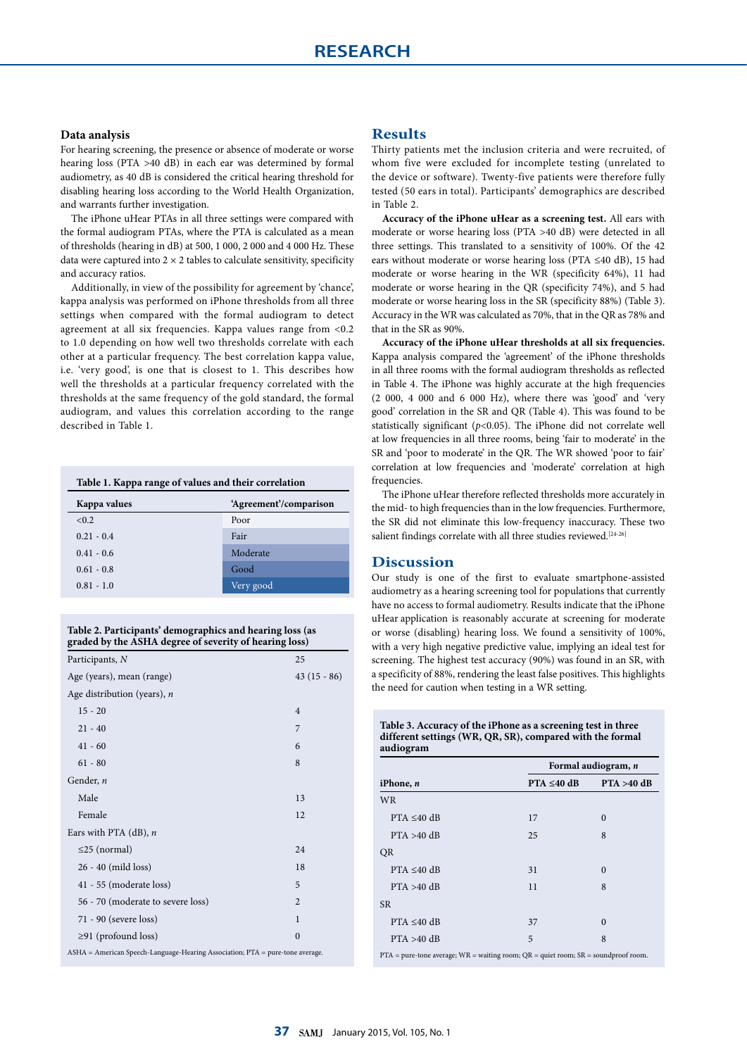### **Data analysis**

For hearing screening, the presence or absence of moderate or worse hearing loss (PTA >40 dB) in each ear was determined by formal audiometry, as 40 dB is considered the critical hearing threshold for disabling hearing loss according to the World Health Organization, and warrants further investigation.

The iPhone uHear PTAs in all three settings were compared with the formal audiogram PTAs, where the PTA is calculated as a mean of thresholds (hearing in dB) at 500, 1 000, 2 000 and 4 000 Hz. These data were captured into  $2 \times 2$  tables to calculate sensitivity, specificity and accuracy ratios.

Additionally, in view of the possibility for agreement by 'chance', kappa analysis was performed on iPhone thresholds from all three settings when compared with the formal audiogram to detect agreement at all six frequencies. Kappa values range from <0.2 to 1.0 depending on how well two thresholds correlate with each other at a particular frequency. The best correlation kappa value, i.e. 'very good', is one that is closest to 1. This describes how well the thresholds at a particular frequency correlated with the thresholds at the same frequency of the gold standard, the formal audiogram, and values this correlation according to the range described in Table 1.

| Table 1. Kappa range of values and their correlation |                        |  |  |
|------------------------------------------------------|------------------------|--|--|
| Kappa values                                         | 'Agreement'/comparison |  |  |
| < 0.2                                                | Poor                   |  |  |
| $0.21 - 0.4$                                         | Fair                   |  |  |
| $0.41 - 0.6$                                         | Moderate               |  |  |
| $0.61 - 0.8$                                         | Good                   |  |  |
| $0.81 - 1.0$                                         | Very good              |  |  |

**Table 2. Participants' demographics and hearing loss (as graded by the ASHA degree of severity of hearing loss)**

| Participants, N                                                               | 25             |  |  |
|-------------------------------------------------------------------------------|----------------|--|--|
| Age (years), mean (range)                                                     | $43(15-86)$    |  |  |
| Age distribution (years), $n$                                                 |                |  |  |
| $15 - 20$                                                                     | $\overline{4}$ |  |  |
| $21 - 40$                                                                     | 7              |  |  |
| $41 - 60$                                                                     | 6              |  |  |
| $61 - 80$                                                                     | 8              |  |  |
| Gender, n                                                                     |                |  |  |
| Male                                                                          | 13             |  |  |
| Female                                                                        | 12             |  |  |
| Ears with PTA $(dB)$ , <i>n</i>                                               |                |  |  |
| $\leq$ 25 (normal)                                                            | 24             |  |  |
| 26 - 40 (mild loss)                                                           | 18             |  |  |
| 41 - 55 (moderate loss)                                                       | 5              |  |  |
| 56 - 70 (moderate to severe loss)                                             | $\overline{2}$ |  |  |
| 71 - 90 (severe loss)                                                         | 1              |  |  |
| $\geq$ 91 (profound loss)                                                     | $\theta$       |  |  |
| ASHA = American Speech-Language-Hearing Association; PTA = pure-tone average. |                |  |  |

# **Results**

Thirty patients met the inclusion criteria and were recruited, of whom five were excluded for incomplete testing (unrelated to the device or software). Twenty-five patients were therefore fully tested (50 ears in total). Participants' demographics are described in Table 2.

**Accuracy of the iPhone uHear as a screening test.** All ears with moderate or worse hearing loss (PTA >40 dB) were detected in all three settings. This translated to a sensitivity of 100%. Of the 42 ears without moderate or worse hearing loss (PTA ≤40 dB), 15 had moderate or worse hearing in the WR (specificity 64%), 11 had moderate or worse hearing in the QR (specificity 74%), and 5 had moderate or worse hearing loss in the SR (specificity 88%) (Table 3). Accuracy in the WR was calculated as 70%, that in the QR as 78% and that in the SR as 90%.

**Accuracy of the iPhone uHear thresholds at all six frequencies.**  Kappa analysis compared the 'agreement' of the iPhone thresholds in all three rooms with the formal audiogram thresholds as reflected in Table 4. The iPhone was highly accurate at the high frequencies (2 000, 4 000 and 6 000 Hz), where there was 'good' and 'very good' correlation in the SR and QR (Table 4). This was found to be statistically significant (*p*<0.05). The iPhone did not correlate well at low frequencies in all three rooms, being 'fair to moderate' in the SR and 'poor to moderate' in the QR. The WR showed 'poor to fair' correlation at low frequencies and 'moderate' correlation at high frequencies.

The iPhone uHear therefore reflected thresholds more accurately in the mid- to high frequencies than in the low frequencies. Furthermore, the SR did not eliminate this low-frequency inaccuracy. These two salient findings correlate with all three studies reviewed.<sup>[24-26]</sup>

# **Discussion**

Our study is one of the first to evaluate smartphone-assisted audiometry as a hearing screening tool for populations that currently have no access to formal audiometry. Results indicate that the iPhone uHear application is reasonably accurate at screening for moderate or worse (disabling) hearing loss. We found a sensitivity of 100%, with a very high negative predictive value, implying an ideal test for screening. The highest test accuracy (90%) was found in an SR, with a specificity of 88%, rendering the least false positives. This highlights the need for caution when testing in a WR setting.

**Table 3. Accuracy of the iPhone as a screening test in three different settings (WR, QR, SR), compared with the formal audiogram**

|                  |                  | Formal audiogram, n |  |  |
|------------------|------------------|---------------------|--|--|
| iPhone, $n$      | $PTA \leq 40$ dB | $PTA > 40$ dB       |  |  |
| <b>WR</b>        |                  |                     |  |  |
| $PTA \leq 40 dB$ | 17               | $\theta$            |  |  |
| $PTA > 40$ dB    | 25               | 8                   |  |  |
| QR               |                  |                     |  |  |
| $PTA \leq 40 dB$ | 31               | $\theta$            |  |  |
| $PTA > 40$ dB    | 11               | 8                   |  |  |
| <b>SR</b>        |                  |                     |  |  |
| $PTA \leq 40 dB$ | 37               | $\theta$            |  |  |
| $PTA > 40$ dB    | 5                | 8                   |  |  |
|                  |                  |                     |  |  |

 $PTA = pure$ -tone average;  $WR =$  waiting room;  $QR =$  quiet room;  $SR =$  soundproof room.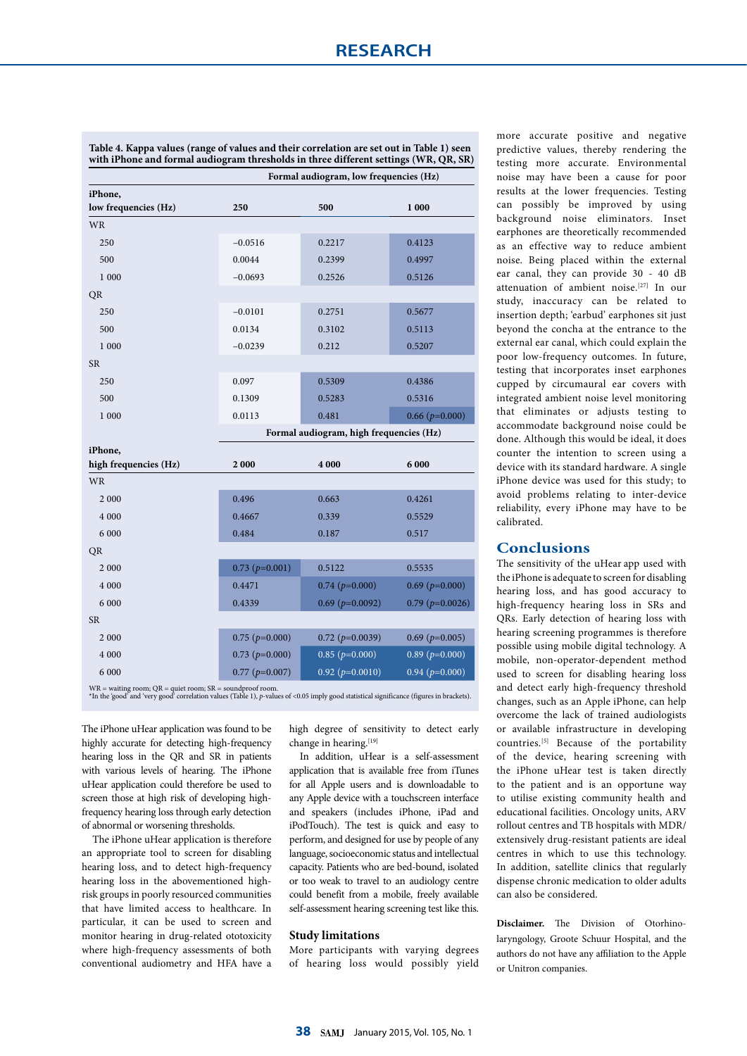|                       |                      | Formal audiogram, low frequencies (Hz)  |                       |  |  |
|-----------------------|----------------------|-----------------------------------------|-----------------------|--|--|
| iPhone,               |                      |                                         |                       |  |  |
| low frequencies (Hz)  | 250                  | 500                                     | 1 000                 |  |  |
| <b>WR</b>             |                      |                                         |                       |  |  |
| 250                   | $-0.0516$            | 0.2217                                  | 0.4123                |  |  |
| 500                   | 0.0044               | 0.2399                                  | 0.4997                |  |  |
| 1 000                 | $-0.0693$            | 0.2526                                  | 0.5126                |  |  |
| QR                    |                      |                                         |                       |  |  |
| 250                   | $-0.0101$            | 0.2751                                  | 0.5677                |  |  |
| 500                   | 0.0134               | 0.3102                                  | 0.5113                |  |  |
| 1 000                 | $-0.0239$            | 0.212                                   | 0.5207                |  |  |
| <b>SR</b>             |                      |                                         |                       |  |  |
| 250                   | 0.097                | 0.5309                                  | 0.4386                |  |  |
| 500                   | 0.1309               | 0.5283                                  | 0.5316                |  |  |
| 1 000                 | 0.0113               | 0.481                                   | $0.66(p=0.000)$       |  |  |
|                       |                      | Formal audiogram, high frequencies (Hz) |                       |  |  |
| iPhone,               |                      |                                         |                       |  |  |
| high frequencies (Hz) | 2000                 | 4 000                                   | 6 000                 |  |  |
| <b>WR</b>             |                      |                                         |                       |  |  |
| 2 0 0 0               | 0.496                | 0.663                                   | 0.4261                |  |  |
| 4 0 0 0               | 0.4667               | 0.339                                   | 0.5529                |  |  |
| 6 000                 | 0.484                | 0.187                                   | 0.517                 |  |  |
| <b>QR</b>             |                      |                                         |                       |  |  |
| 2 000                 | $0.73$ ( $p=0.001$ ) | 0.5122                                  | 0.5535                |  |  |
| 4 0 0 0               | 0.4471               | $0.74$ ( $p=0.000$ )                    | $0.69$ ( $p=0.000$ )  |  |  |
| 6 0 0 0               | 0.4339               | $0.69$ ( $p=0.0092$ )                   | $0.79$ ( $p=0.0026$ ) |  |  |
| <b>SR</b>             |                      |                                         |                       |  |  |
| 2 0 0 0               | $0.75$ ( $p=0.000$ ) | $0.72$ ( $p=0.0039$ )                   | $0.69$ ( $p=0.005$ )  |  |  |
| 4 000                 | $0.73$ ( $p=0.000$ ) | $0.85$ ( $p=0.000$ )                    | $0.89$ ( $p=0.000$ )  |  |  |
| 6 0 0 0               | $0.77$ ( $p=0.007$ ) | $0.92$ ( $p=0.0010$ )                   | $0.94$ ( $p=0.000$ )  |  |  |

**Table 4. Kappa values (range of values and their correlation are set out in Table 1) seen with iPhone and formal audiogram thresholds in three different settings (WR, QR, SR)** 

WR = waiting room; QR = quiet room; SR = soundproof room. \*In the 'good' and 'very good' correlation values (Table 1), *p*-values of <0.05 imply good statistical significance (figures in brackets).

The iPhone uHear application was found to be highly accurate for detecting high-frequency hearing loss in the QR and SR in patients with various levels of hearing. The iPhone uHear application could therefore be used to screen those at high risk of developing highfrequency hearing loss through early detection of abnormal or worsening thresholds.

The iPhone uHear application is therefore an appropriate tool to screen for disabling hearing loss, and to detect high-frequency hearing loss in the abovementioned highrisk groups in poorly resourced communities that have limited access to healthcare. In particular, it can be used to screen and monitor hearing in drug-related ototoxicity where high-frequency assessments of both conventional audiometry and HFA have a

high degree of sensitivity to detect early change in hearing.<sup>[19]</sup>

In addition, uHear is a self-assessment application that is available free from iTunes for all Apple users and is downloadable to any Apple device with a touchscreen interface and speakers (includes iPhone, iPad and iPodTouch). The test is quick and easy to perform, and designed for use by people of any language, socioeconomic status and intellectual capacity. Patients who are bed-bound, isolated or too weak to travel to an audiology centre could benefit from a mobile, freely available self-assessment hearing screening test like this.

#### **Study limitations**

More participants with varying degrees of hearing loss would possibly yield more accurate positive and negative predictive values, thereby rendering the testing more accurate. Environmental noise may have been a cause for poor results at the lower frequencies. Testing can possibly be improved by using background noise eliminators. Inset earphones are theoretically recommended as an effective way to reduce ambient noise. Being placed within the external ear canal, they can provide 30 - 40 dB attenuation of ambient noise.[27] In our study, inaccuracy can be related to insertion depth; 'earbud' earphones sit just beyond the concha at the entrance to the external ear canal, which could explain the poor low-frequency outcomes. In future, testing that incorporates inset earphones cupped by circumaural ear covers with integrated ambient noise level monitoring that eliminates or adjusts testing to accommodate background noise could be done. Although this would be ideal, it does counter the intention to screen using a device with its standard hardware. A single iPhone device was used for this study; to avoid problems relating to inter-device reliability, every iPhone may have to be calibrated.

# **Conclusions**

The sensitivity of the uHear app used with the iPhone is adequate to screen for disabling hearing loss, and has good accuracy to high-frequency hearing loss in SRs and QRs. Early detection of hearing loss with hearing screening programmes is therefore possible using mobile digital technology. A mobile, non-operator-dependent method used to screen for disabling hearing loss and detect early high-frequency threshold changes, such as an Apple iPhone, can help overcome the lack of trained audiologists or available infrastructure in developing countries.[5] Because of the portability of the device, hearing screening with the iPhone uHear test is taken directly to the patient and is an opportune way to utilise existing community health and educational facilities. Oncology units, ARV rollout centres and TB hospitals with MDR/ extensively drug-resistant patients are ideal centres in which to use this technology. In addition, satellite clinics that regularly dispense chronic medication to older adults can also be considered.

**Disclaimer.** The Division of Otorhinolaryngology, Groote Schuur Hospital, and the authors do not have any affiliation to the Apple or Unitron companies.